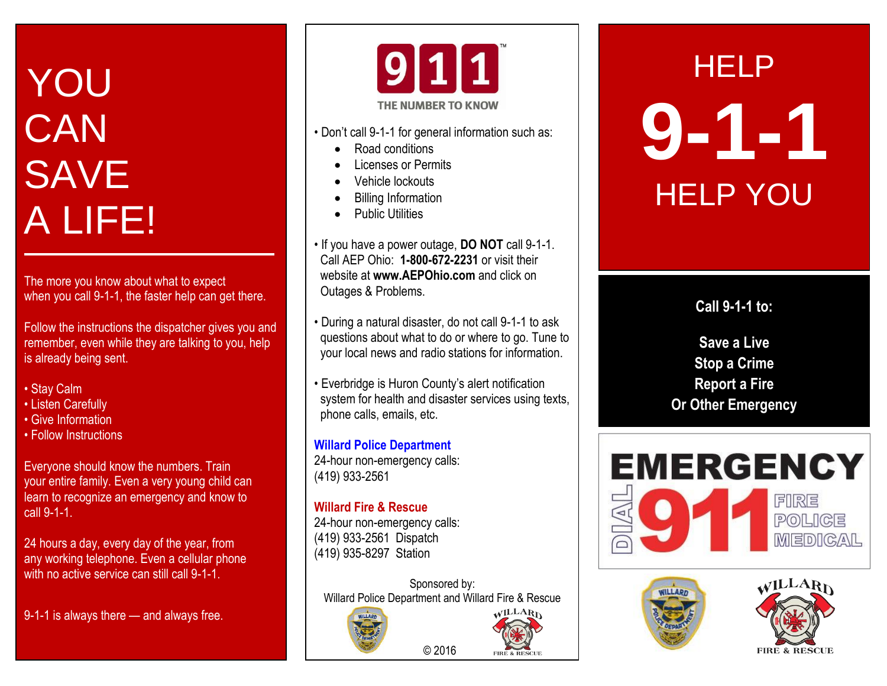# YOU **CAN** SAVE A LIFE!

The more you know about what to expect when you call 9-1-1, the faster help can get there.

Follow the instructions the dispatcher gives you and remember, even while they are talking to you, help is already being sent.

- Stay Calm
- Listen Carefully
- Give Information
- Follow Instructions

Everyone should know the numbers. Train your entire family. Even a very young child can learn to recognize an emergency and know to call 9-1-1.

24 hours a day, every day of the year, from any working telephone. Even a cellular phone with no active service can still call 9-1-1.

9-1-1 is always there — and always free.



- Don't call 9-1-1 for general information such as:
	- Road conditions
	- Licenses or Permits
	- Vehicle lockouts
	- Billing Information
	- Public Utilities
- If you have a power outage, **DO NOT** call 9-1-1. Call AEP Ohio: **1-800-672-2231** or visit their website at **[www.AEPOhio.com](http://www.aepohio.com/)** and click on Outages & Problems.
- During a natural disaster, do not call 9-1-1 to ask questions about what to do or where to go. Tune to your local news and radio stations for information.
- Everbridge is Huron County's alert notification system for health and disaster services using texts, phone calls, emails, etc.

**Willard Police Department** 24-hour non-emergency calls: (419) 933-2561

### **Willard Fire & Rescue**

24-hour non-emergency calls: (419) 933-2561 Dispatch (419) 935-8297 Station

Sponsored by: Willard Police Department and Willard Fire & Rescue

© 2016

**EIDE & DESCI** 





**Call 9-1-1 to:**

**Save a Live Stop a Crime Report a Fire Or Other Emergency**